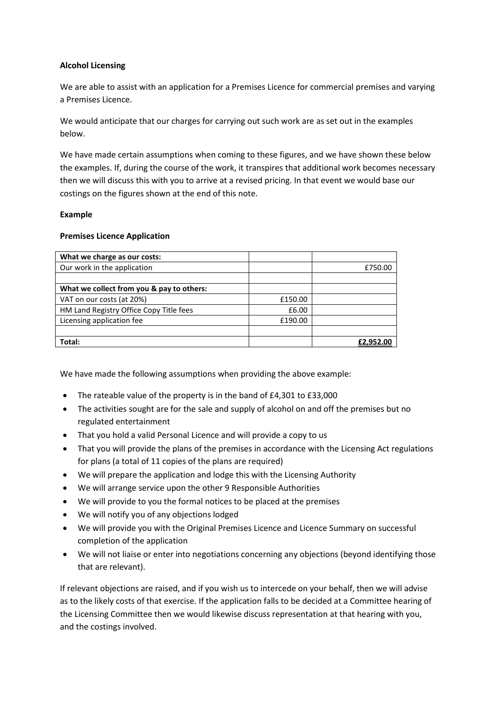## **Alcohol Licensing**

We are able to assist with an application for a Premises Licence for commercial premises and varying a Premises Licence.

We would anticipate that our charges for carrying out such work are as set out in the examples below.

We have made certain assumptions when coming to these figures, and we have shown these below the examples. If, during the course of the work, it transpires that additional work becomes necessary then we will discuss this with you to arrive at a revised pricing. In that event we would base our costings on the figures shown at the end of this note.

## **Example**

## **Premises Licence Application**

| What we charge as our costs:              |         |           |
|-------------------------------------------|---------|-----------|
| Our work in the application               |         | £750.00   |
|                                           |         |           |
| What we collect from you & pay to others: |         |           |
| VAT on our costs (at 20%)                 | £150.00 |           |
| HM Land Registry Office Copy Title fees   | £6.00   |           |
| Licensing application fee                 | £190.00 |           |
|                                           |         |           |
| Total:                                    |         | £2.952.00 |

We have made the following assumptions when providing the above example:

- The rateable value of the property is in the band of £4,301 to £33,000
- The activities sought are for the sale and supply of alcohol on and off the premises but no regulated entertainment
- That you hold a valid Personal Licence and will provide a copy to us
- That you will provide the plans of the premises in accordance with the Licensing Act regulations for plans (a total of 11 copies of the plans are required)
- We will prepare the application and lodge this with the Licensing Authority
- We will arrange service upon the other 9 Responsible Authorities
- We will provide to you the formal notices to be placed at the premises
- We will notify you of any objections lodged
- We will provide you with the Original Premises Licence and Licence Summary on successful completion of the application
- We will not liaise or enter into negotiations concerning any objections (beyond identifying those that are relevant).

If relevant objections are raised, and if you wish us to intercede on your behalf, then we will advise as to the likely costs of that exercise. If the application falls to be decided at a Committee hearing of the Licensing Committee then we would likewise discuss representation at that hearing with you, and the costings involved.